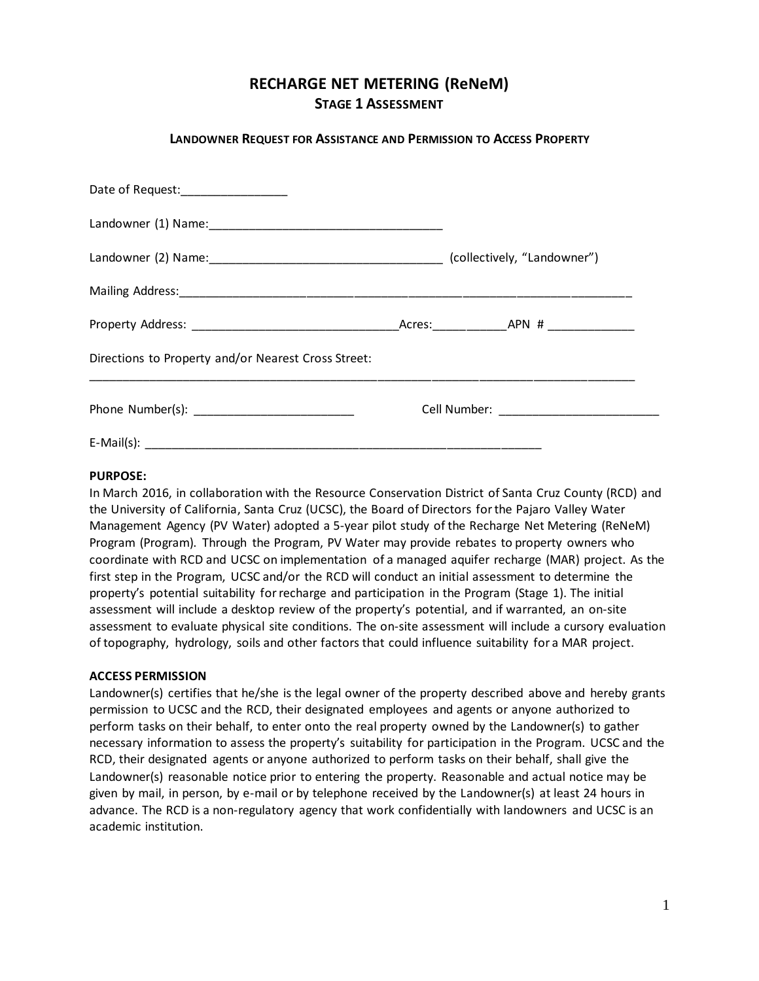# **RECHARGE NET METERING (ReNeM) STAGE 1 ASSESSMENT**

# **LANDOWNER REQUEST FOR ASSISTANCE AND PERMISSION TO ACCESS PROPERTY**

| Date of Request:__________________                  |  |  |  |  |
|-----------------------------------------------------|--|--|--|--|
|                                                     |  |  |  |  |
|                                                     |  |  |  |  |
|                                                     |  |  |  |  |
|                                                     |  |  |  |  |
| Directions to Property and/or Nearest Cross Street: |  |  |  |  |
|                                                     |  |  |  |  |
|                                                     |  |  |  |  |

## **PURPOSE:**

In March 2016, in collaboration with the Resource Conservation District of Santa Cruz County (RCD) and the University of California, Santa Cruz (UCSC), the Board of Directors for the Pajaro Valley Water Management Agency (PV Water) adopted a 5-year pilot study of the Recharge Net Metering (ReNeM) Program (Program). Through the Program, PV Water may provide rebates to property owners who coordinate with RCD and UCSC on implementation of a managed aquifer recharge (MAR) project. As the first step in the Program, UCSC and/or the RCD will conduct an initial assessment to determine the property's potential suitability for recharge and participation in the Program (Stage 1). The initial assessment will include a desktop review of the property's potential, and if warranted, an on-site assessment to evaluate physical site conditions. The on-site assessment will include a cursory evaluation of topography, hydrology, soils and other factors that could influence suitability for a MAR project.

#### **ACCESS PERMISSION**

Landowner(s) certifies that he/she is the legal owner of the property described above and hereby grants permission to UCSC and the RCD, their designated employees and agents or anyone authorized to perform tasks on their behalf, to enter onto the real property owned by the Landowner(s) to gather necessary information to assess the property's suitability for participation in the Program. UCSC and the RCD, their designated agents or anyone authorized to perform tasks on their behalf, shall give the Landowner(s) reasonable notice prior to entering the property. Reasonable and actual notice may be given by mail, in person, by e-mail or by telephone received by the Landowner(s) at least 24 hours in advance. The RCD is a non-regulatory agency that work confidentially with landowners and UCSC is an academic institution.